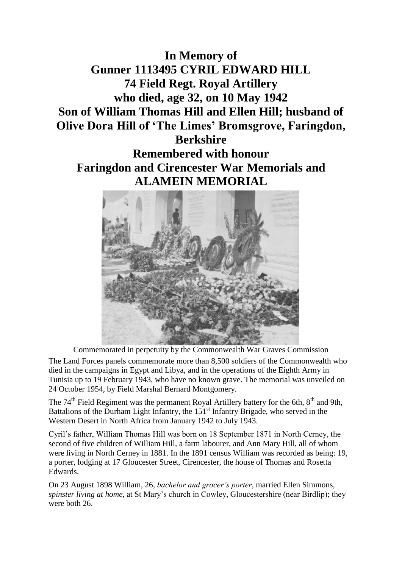## **In Memory of Gunner 1113495 CYRIL EDWARD HILL 74 Field Regt. Royal Artillery who died, age 32, on 10 May 1942 Son of William Thomas Hill and Ellen Hill; husband of Olive Dora Hill of 'The Limes' Bromsgrove, Faringdon, Berkshire**

## **Remembered with honour Faringdon and Cirencester War Memorials and ALAMEIN MEMORIAL**



Commemorated in perpetuity by the Commonwealth War Graves Commission

The Land Forces panels commemorate more than 8,500 soldiers of the Commonwealth who died in the campaigns in Egypt and Libya, and in the operations of the Eighth Army in Tunisia up to 19 February 1943, who have no known grave. The memorial was unveiled on 24 October 1954, by Field Marshal Bernard Montgomery.

The  $74<sup>th</sup>$  Field Regiment was the permanent Royal Artillery battery for the 6th,  $8<sup>th</sup>$  and 9th, Battalions of the Durham Light Infantry, the  $151<sup>st</sup>$  Infantry Brigade, who served in the Western Desert in North Africa from January 1942 to July 1943.

Cyril's father, William Thomas Hill was born on 18 September 1871 in North Cerney, the second of five children of William Hill, a farm labourer, and Ann Mary Hill, all of whom were living in North Cerney in 1881. In the 1891 census William was recorded as being: 19, a porter, lodging at 17 Gloucester Street, Cirencester, the house of Thomas and Rosetta Edwards.

On 23 August 1898 William, 26, *bachelor and grocer's porter*, married Ellen Simmons, *spinster living at home*, at St Mary's church in Cowley, Gloucestershire (near Birdlip); they were both 26.